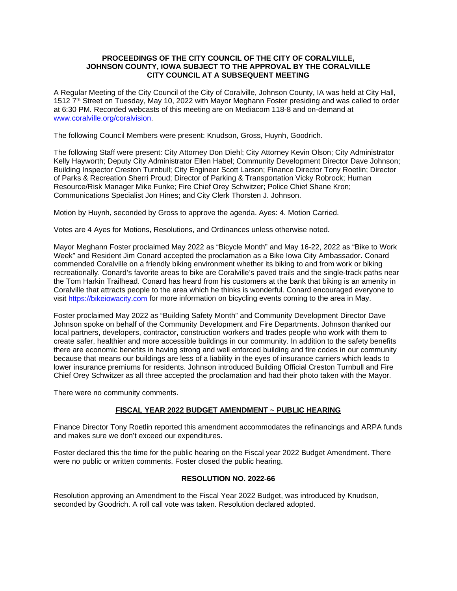#### **PROCEEDINGS OF THE CITY COUNCIL OF THE CITY OF CORALVILLE, JOHNSON COUNTY, IOWA SUBJECT TO THE APPROVAL BY THE CORALVILLE CITY COUNCIL AT A SUBSEQUENT MEETING**

A Regular Meeting of the City Council of the City of Coralville, Johnson County, IA was held at City Hall, 1512 7<sup>th</sup> Street on Tuesday, May 10, 2022 with Mayor Meghann Foster presiding and was called to order at 6:30 PM. Recorded webcasts of this meeting are on Mediacom 118-8 and on-demand at [www.coralville.org/coralvision.](http://www.coralville.org/coralvision)

The following Council Members were present: Knudson, Gross, Huynh, Goodrich.

The following Staff were present: City Attorney Don Diehl; City Attorney Kevin Olson; City Administrator Kelly Hayworth; Deputy City Administrator Ellen Habel; Community Development Director Dave Johnson; Building Inspector Creston Turnbull; City Engineer Scott Larson; Finance Director Tony Roetlin; Director of Parks & Recreation Sherri Proud; Director of Parking & Transportation Vicky Robrock; Human Resource/Risk Manager Mike Funke; Fire Chief Orey Schwitzer; Police Chief Shane Kron; Communications Specialist Jon Hines; and City Clerk Thorsten J. Johnson.

Motion by Huynh, seconded by Gross to approve the agenda. Ayes: 4. Motion Carried.

Votes are 4 Ayes for Motions, Resolutions, and Ordinances unless otherwise noted.

Mayor Meghann Foster proclaimed May 2022 as "Bicycle Month" and May 16-22, 2022 as "Bike to Work Week" and Resident Jim Conard accepted the proclamation as a Bike Iowa City Ambassador. Conard commended Coralville on a friendly biking environment whether its biking to and from work or biking recreationally. Conard's favorite areas to bike are Coralville's paved trails and the single-track paths near the Tom Harkin Trailhead. Conard has heard from his customers at the bank that biking is an amenity in Coralville that attracts people to the area which he thinks is wonderful. Conard encouraged everyone to visit [https://bikeiowacity.com](https://bikeiowacity.com/) for more information on bicycling events coming to the area in May.

Foster proclaimed May 2022 as "Building Safety Month" and Community Development Director Dave Johnson spoke on behalf of the Community Development and Fire Departments. Johnson thanked our local partners, developers, contractor, construction workers and trades people who work with them to create safer, healthier and more accessible buildings in our community. In addition to the safety benefits there are economic benefits in having strong and well enforced building and fire codes in our community because that means our buildings are less of a liability in the eyes of insurance carriers which leads to lower insurance premiums for residents. Johnson introduced Building Official Creston Turnbull and Fire Chief Orey Schwitzer as all three accepted the proclamation and had their photo taken with the Mayor.

There were no community comments.

#### **FISCAL YEAR 2022 BUDGET AMENDMENT ~ PUBLIC HEARING**

Finance Director Tony Roetlin reported this amendment accommodates the refinancings and ARPA funds and makes sure we don't exceed our expenditures.

Foster declared this the time for the public hearing on the Fiscal year 2022 Budget Amendment. There were no public or written comments. Foster closed the public hearing.

#### **RESOLUTION NO. 2022-66**

Resolution approving an Amendment to the Fiscal Year 2022 Budget, was introduced by Knudson, seconded by Goodrich. A roll call vote was taken. Resolution declared adopted.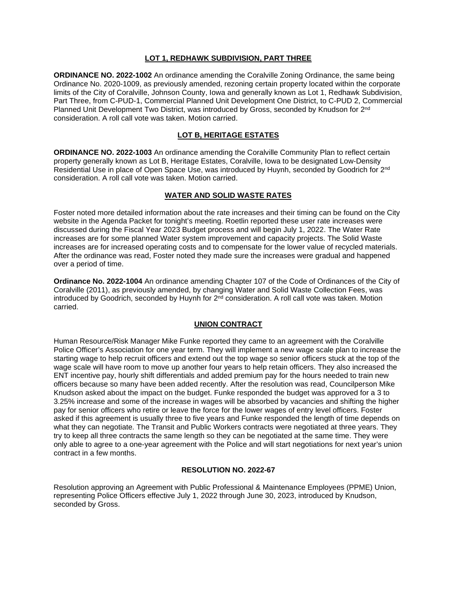#### **LOT 1, REDHAWK SUBDIVISION, PART THREE**

**ORDINANCE NO. 2022-1002** An ordinance amending the Coralville Zoning Ordinance, the same being Ordinance No. 2020-1009, as previously amended, rezoning certain property located within the corporate limits of the City of Coralville, Johnson County, Iowa and generally known as Lot 1, Redhawk Subdivision, Part Three, from C-PUD-1, Commercial Planned Unit Development One District, to C-PUD 2, Commercial Planned Unit Development Two District, was introduced by Gross, seconded by Knudson for 2<sup>nd</sup> consideration. A roll call vote was taken. Motion carried.

# **LOT B, HERITAGE ESTATES**

**ORDINANCE NO. 2022-1003** An ordinance amending the Coralville Community Plan to reflect certain property generally known as Lot B, Heritage Estates, Coralville, Iowa to be designated Low-Density Residential Use in place of Open Space Use, was introduced by Huynh, seconded by Goodrich for 2nd consideration. A roll call vote was taken. Motion carried.

#### **WATER AND SOLID WASTE RATES**

Foster noted more detailed information about the rate increases and their timing can be found on the City website in the Agenda Packet for tonight's meeting. Roetlin reported these user rate increases were discussed during the Fiscal Year 2023 Budget process and will begin July 1, 2022. The Water Rate increases are for some planned Water system improvement and capacity projects. The Solid Waste increases are for increased operating costs and to compensate for the lower value of recycled materials. After the ordinance was read, Foster noted they made sure the increases were gradual and happened over a period of time.

**Ordinance No. 2022-1004** An ordinance amending Chapter 107 of the Code of Ordinances of the City of Coralville (2011), as previously amended, by changing Water and Solid Waste Collection Fees, was introduced by Goodrich, seconded by Huynh for  $2<sup>nd</sup>$  consideration. A roll call vote was taken. Motion carried.

# **UNION CONTRACT**

Human Resource/Risk Manager Mike Funke reported they came to an agreement with the Coralville Police Officer's Association for one year term. They will implement a new wage scale plan to increase the starting wage to help recruit officers and extend out the top wage so senior officers stuck at the top of the wage scale will have room to move up another four years to help retain officers. They also increased the ENT incentive pay, hourly shift differentials and added premium pay for the hours needed to train new officers because so many have been added recently. After the resolution was read, Councilperson Mike Knudson asked about the impact on the budget. Funke responded the budget was approved for a 3 to 3.25% increase and some of the increase in wages will be absorbed by vacancies and shifting the higher pay for senior officers who retire or leave the force for the lower wages of entry level officers. Foster asked if this agreement is usually three to five years and Funke responded the length of time depends on what they can negotiate. The Transit and Public Workers contracts were negotiated at three years. They try to keep all three contracts the same length so they can be negotiated at the same time. They were only able to agree to a one-year agreement with the Police and will start negotiations for next year's union contract in a few months.

#### **RESOLUTION NO. 2022-67**

Resolution approving an Agreement with Public Professional & Maintenance Employees (PPME) Union, representing Police Officers effective July 1, 2022 through June 30, 2023, introduced by Knudson, seconded by Gross.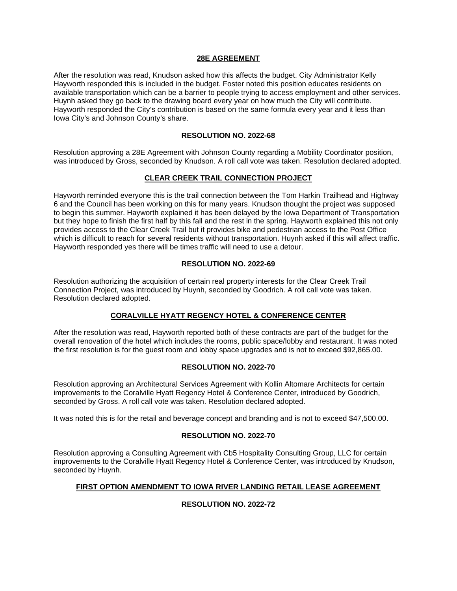#### **28E AGREEMENT**

After the resolution was read, Knudson asked how this affects the budget. City Administrator Kelly Hayworth responded this is included in the budget. Foster noted this position educates residents on available transportation which can be a barrier to people trying to access employment and other services. Huynh asked they go back to the drawing board every year on how much the City will contribute. Hayworth responded the City's contribution is based on the same formula every year and it less than Iowa City's and Johnson County's share.

#### **RESOLUTION NO. 2022-68**

Resolution approving a 28E Agreement with Johnson County regarding a Mobility Coordinator position, was introduced by Gross, seconded by Knudson. A roll call vote was taken. Resolution declared adopted.

# **CLEAR CREEK TRAIL CONNECTION PROJECT**

Hayworth reminded everyone this is the trail connection between the Tom Harkin Trailhead and Highway 6 and the Council has been working on this for many years. Knudson thought the project was supposed to begin this summer. Hayworth explained it has been delayed by the Iowa Department of Transportation but they hope to finish the first half by this fall and the rest in the spring. Hayworth explained this not only provides access to the Clear Creek Trail but it provides bike and pedestrian access to the Post Office which is difficult to reach for several residents without transportation. Huynh asked if this will affect traffic. Hayworth responded yes there will be times traffic will need to use a detour.

#### **RESOLUTION NO. 2022-69**

Resolution authorizing the acquisition of certain real property interests for the Clear Creek Trail Connection Project, was introduced by Huynh, seconded by Goodrich. A roll call vote was taken. Resolution declared adopted.

# **CORALVILLE HYATT REGENCY HOTEL & CONFERENCE CENTER**

After the resolution was read, Hayworth reported both of these contracts are part of the budget for the overall renovation of the hotel which includes the rooms, public space/lobby and restaurant. It was noted the first resolution is for the guest room and lobby space upgrades and is not to exceed \$92,865.00.

# **RESOLUTION NO. 2022-70**

Resolution approving an Architectural Services Agreement with Kollin Altomare Architects for certain improvements to the Coralville Hyatt Regency Hotel & Conference Center, introduced by Goodrich, seconded by Gross. A roll call vote was taken. Resolution declared adopted.

It was noted this is for the retail and beverage concept and branding and is not to exceed \$47,500.00.

# **RESOLUTION NO. 2022-70**

Resolution approving a Consulting Agreement with Cb5 Hospitality Consulting Group, LLC for certain improvements to the Coralville Hyatt Regency Hotel & Conference Center, was introduced by Knudson, seconded by Huynh.

#### **FIRST OPTION AMENDMENT TO IOWA RIVER LANDING RETAIL LEASE AGREEMENT**

# **RESOLUTION NO. 2022-72**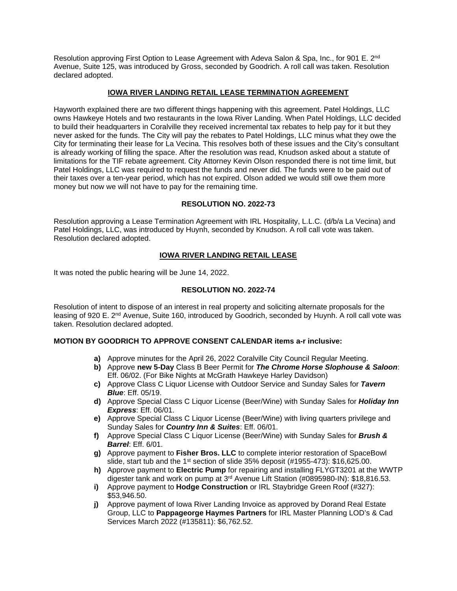Resolution approving First Option to Lease Agreement with Adeva Salon & Spa, Inc., for 901 E. 2<sup>nd</sup> Avenue, Suite 125, was introduced by Gross, seconded by Goodrich. A roll call was taken. Resolution declared adopted.

# **IOWA RIVER LANDING RETAIL LEASE TERMINATION AGREEMENT**

Hayworth explained there are two different things happening with this agreement. Patel Holdings, LLC owns Hawkeye Hotels and two restaurants in the Iowa River Landing. When Patel Holdings, LLC decided to build their headquarters in Coralville they received incremental tax rebates to help pay for it but they never asked for the funds. The City will pay the rebates to Patel Holdings, LLC minus what they owe the City for terminating their lease for La Vecina. This resolves both of these issues and the City's consultant is already working of filling the space. After the resolution was read, Knudson asked about a statute of limitations for the TIF rebate agreement. City Attorney Kevin Olson responded there is not time limit, but Patel Holdings, LLC was required to request the funds and never did. The funds were to be paid out of their taxes over a ten-year period, which has not expired. Olson added we would still owe them more money but now we will not have to pay for the remaining time.

# **RESOLUTION NO. 2022-73**

Resolution approving a Lease Termination Agreement with IRL Hospitality, L.L.C. (d/b/a La Vecina) and Patel Holdings, LLC, was introduced by Huynh, seconded by Knudson. A roll call vote was taken. Resolution declared adopted.

# **IOWA RIVER LANDING RETAIL LEASE**

It was noted the public hearing will be June 14, 2022.

# **RESOLUTION NO. 2022-74**

Resolution of intent to dispose of an interest in real property and soliciting alternate proposals for the leasing of 920 E. 2nd Avenue, Suite 160, introduced by Goodrich, seconded by Huynh. A roll call vote was taken. Resolution declared adopted.

# **MOTION BY GOODRICH TO APPROVE CONSENT CALENDAR items a-r inclusive:**

- **a)** Approve minutes for the April 26, 2022 Coralville City Council Regular Meeting.
- **b)** Approve **new 5-Day** Class B Beer Permit for *The Chrome Horse Slophouse & Saloon*: Eff. 06/02. (For Bike Nights at McGrath Hawkeye Harley Davidson)
- **c)** Approve Class C Liquor License with Outdoor Service and Sunday Sales for *Tavern Blue*: Eff. 05/19.
- **d)** Approve Special Class C Liquor License (Beer/Wine) with Sunday Sales for *Holiday Inn Express*: Eff. 06/01.
- **e)** Approve Special Class C Liquor License (Beer/Wine) with living quarters privilege and Sunday Sales for *Country Inn & Suites*: Eff. 06/01.
- **f)** Approve Special Class C Liquor License (Beer/Wine) with Sunday Sales for *Brush & Barrel*: Eff. 6/01.
- **g)** Approve payment to **Fisher Bros. LLC** to complete interior restoration of SpaceBowl slide, start tub and the 1<sup>st</sup> section of slide  $35\%$  deposit (#1955-473): \$16,625.00.
- **h)** Approve payment to **Electric Pump** for repairing and installing FLYGT3201 at the WWTP digester tank and work on pump at 3rd Avenue Lift Station (#0895980-IN): \$18,816.53.
- **i)** Approve payment to **Hodge Construction** or IRL Staybridge Green Roof (#327): \$53,946.50.
- **j)** Approve payment of Iowa River Landing Invoice as approved by Dorand Real Estate Group, LLC to **Pappageorge Haymes Partners** for IRL Master Planning LOD's & Cad Services March 2022 (#135811): \$6,762.52.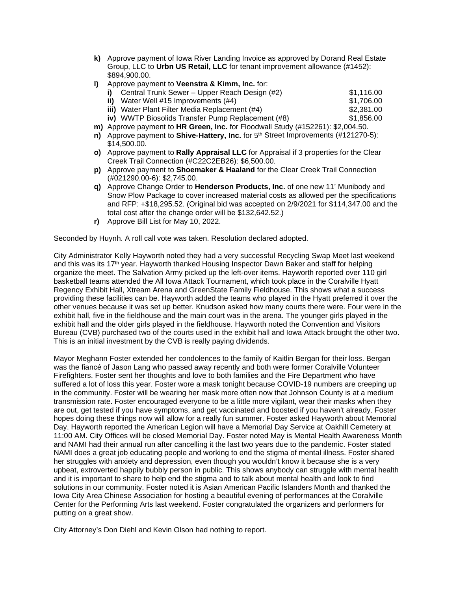- **k)** Approve payment of Iowa River Landing Invoice as approved by Dorand Real Estate Group, LLC to **Urbn US Retail, LLC** for tenant improvement allowance (#1452): \$894,900.00.
- **l)** Approve payment to **Veenstra & Kimm, Inc.** for:

| i) Central Trunk Sewer – Upper Reach Design $(\#2)$ | \$1.116.00 |
|-----------------------------------------------------|------------|
| ii) Water Well $\#15$ Improvements $(\#4)$          | \$1.706.00 |
| iii) Water Plant Filter Media Replacement (#4)      | \$2.381.00 |

- **iv)** WWTP Biosolids Transfer Pump Replacement (#8)  $$1.856.00$
- **m)** Approve payment to **HR Green, Inc.** for Floodwall Study (#152261): \$2,004.50.
- **n)** Approve payment to **Shive-Hattery, Inc.** for 5<sup>th</sup> Street Improvements (#121270-5): \$14,500.00.
- **o)** Approve payment to **Rally Appraisal LLC** for Appraisal if 3 properties for the Clear Creek Trail Connection (#C22C2EB26): \$6,500.00.
- **p)** Approve payment to **Shoemaker & Haaland** for the Clear Creek Trail Connection (#021290.00-6): \$2,745.00.
- **q)** Approve Change Order to **Henderson Products, Inc.** of one new 11' Munibody and Snow Plow Package to cover increased material costs as allowed per the specifications and RFP: +\$18,295.52. (Original bid was accepted on 2/9/2021 for \$114,347.00 and the total cost after the change order will be \$132,642.52.)
- **r)** Approve Bill List for May 10, 2022.

Seconded by Huynh. A roll call vote was taken. Resolution declared adopted.

City Administrator Kelly Hayworth noted they had a very successful Recycling Swap Meet last weekend and this was its 17th year. Hayworth thanked Housing Inspector Dawn Baker and staff for helping organize the meet. The Salvation Army picked up the left-over items. Hayworth reported over 110 girl basketball teams attended the All Iowa Attack Tournament, which took place in the Coralville Hyatt Regency Exhibit Hall, Xtream Arena and GreenState Family Fieldhouse. This shows what a success providing these facilities can be. Hayworth added the teams who played in the Hyatt preferred it over the other venues because it was set up better. Knudson asked how many courts there were. Four were in the exhibit hall, five in the fieldhouse and the main court was in the arena. The younger girls played in the exhibit hall and the older girls played in the fieldhouse. Hayworth noted the Convention and Visitors Bureau (CVB) purchased two of the courts used in the exhibit hall and Iowa Attack brought the other two. This is an initial investment by the CVB is really paying dividends.

Mayor Meghann Foster extended her condolences to the family of Kaitlin Bergan for their loss. Bergan was the fiancé of Jason Lang who passed away recently and both were former Coralville Volunteer Firefighters. Foster sent her thoughts and love to both families and the Fire Department who have suffered a lot of loss this year. Foster wore a mask tonight because COVID-19 numbers are creeping up in the community. Foster will be wearing her mask more often now that Johnson County is at a medium transmission rate. Foster encouraged everyone to be a little more vigilant, wear their masks when they are out, get tested if you have symptoms, and get vaccinated and boosted if you haven't already. Foster hopes doing these things now will allow for a really fun summer. Foster asked Hayworth about Memorial Day. Hayworth reported the American Legion will have a Memorial Day Service at Oakhill Cemetery at 11:00 AM. City Offices will be closed Memorial Day. Foster noted May is Mental Health Awareness Month and NAMI had their annual run after cancelling it the last two years due to the pandemic. Foster stated NAMI does a great job educating people and working to end the stigma of mental illness. Foster shared her struggles with anxiety and depression, even though you wouldn't know it because she is a very upbeat, extroverted happily bubbly person in public. This shows anybody can struggle with mental health and it is important to share to help end the stigma and to talk about mental health and look to find solutions in our community. Foster noted it is Asian American Pacific Islanders Month and thanked the Iowa City Area Chinese Association for hosting a beautiful evening of performances at the Coralville Center for the Performing Arts last weekend. Foster congratulated the organizers and performers for putting on a great show.

City Attorney's Don Diehl and Kevin Olson had nothing to report.